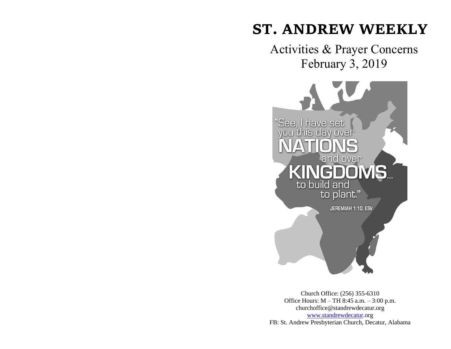# **ST. ANDREW WEEKLY**

Activities & Prayer Concerns February 3, 2019



Church Office: (256) 355-6310 Office Hours: M – TH 8:45 a.m. – 3:00 p.m. churchoffice@standrewdecatur.org [www.standrewdecatur.](http://www.standrewdecatur/)org FB: St. Andrew Presbyterian Church, Decatur, Alabama